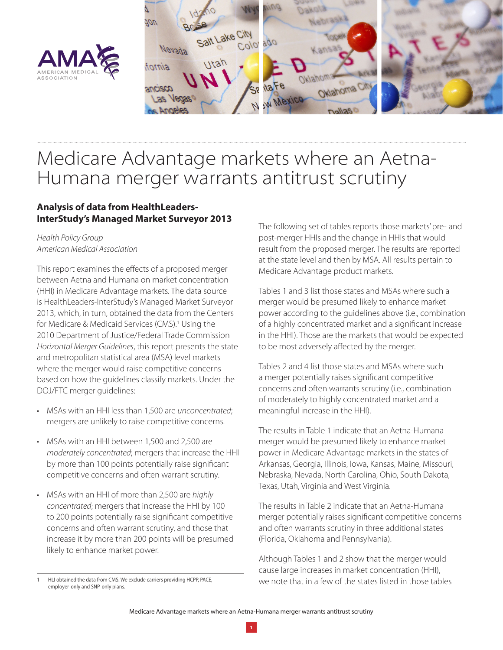



# Medicare Advantage markets where an Aetna-Humana merger warrants antitrust scrutiny

# **Analysis of data from HealthLeaders-InterStudy's Managed Market Surveyor 2013**

#### *Health Policy Group American Medical Association*

This report examines the effects of a proposed merger between Aetna and Humana on market concentration (HHI) in Medicare Advantage markets. The data source is HealthLeaders-InterStudy's Managed Market Surveyor 2013, which, in turn, obtained the data from the Centers for Medicare & Medicaid Services (CMS).<sup>1</sup> Using the 2010 Department of Justice/Federal Trade Commission *Horizontal Merger Guidelines*, this report presents the state and metropolitan statistical area (MSA) level markets where the merger would raise competitive concerns based on how the guidelines classify markets. Under the DOJ/FTC merger guidelines:

- MSAs with an HHI less than 1,500 are *unconcentrated*; mergers are unlikely to raise competitive concerns.
- MSAs with an HHI between 1,500 and 2,500 are *moderately concentrated*; mergers that increase the HHI by more than 100 points potentially raise significant competitive concerns and often warrant scrutiny.
- MSAs with an HHI of more than 2,500 are *highly concentrated*; mergers that increase the HHI by 100 to 200 points potentially raise significant competitive concerns and often warrant scrutiny, and those that increase it by more than 200 points will be presumed likely to enhance market power.

HLI obtained the data from CMS. We exclude carriers providing HCPP, PACE, employer-only and SNP-only plans.

The following set of tables reports those markets' pre- and post-merger HHIs and the change in HHIs that would result from the proposed merger. The results are reported at the state level and then by MSA. All results pertain to Medicare Advantage product markets.

Tables 1 and 3 list those states and MSAs where such a merger would be presumed likely to enhance market power according to the guidelines above (i.e., combination of a highly concentrated market and a significant increase in the HHI). Those are the markets that would be expected to be most adversely affected by the merger.

Tables 2 and 4 list those states and MSAs where such a merger potentially raises significant competitive concerns and often warrants scrutiny (i.e., combination of moderately to highly concentrated market and a meaningful increase in the HHI).

The results in Table 1 indicate that an Aetna-Humana merger would be presumed likely to enhance market power in Medicare Advantage markets in the states of Arkansas, Georgia, Illinois, Iowa, Kansas, Maine, Missouri, Nebraska, Nevada, North Carolina, Ohio, South Dakota, Texas, Utah, Virginia and West Virginia.

The results in Table 2 indicate that an Aetna-Humana merger potentially raises significant competitive concerns and often warrants scrutiny in three additional states (Florida, Oklahoma and Pennsylvania).

Although Tables 1 and 2 show that the merger would cause large increases in market concentration (HHI), we note that in a few of the states listed in those tables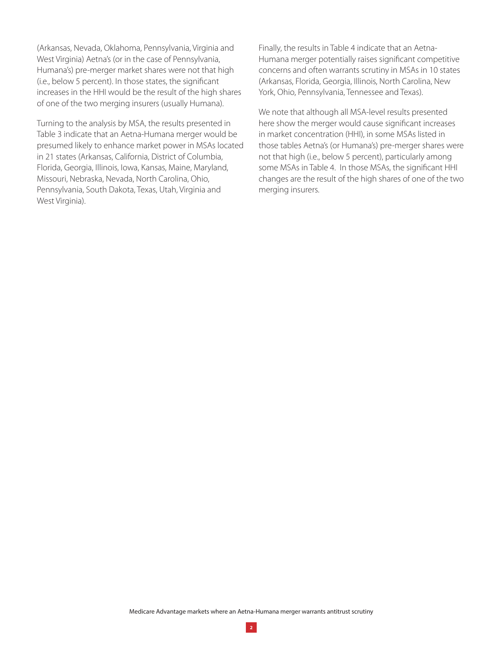(Arkansas, Nevada, Oklahoma, Pennsylvania, Virginia and West Virginia) Aetna's (or in the case of Pennsylvania, Humana's) pre-merger market shares were not that high (i.e., below 5 percent). In those states, the significant increases in the HHI would be the result of the high shares of one of the two merging insurers (usually Humana).

Turning to the analysis by MSA, the results presented in Table 3 indicate that an Aetna-Humana merger would be presumed likely to enhance market power in MSAs located in 21 states (Arkansas, California, District of Columbia, Florida, Georgia, Illinois, Iowa, Kansas, Maine, Maryland, Missouri, Nebraska, Nevada, North Carolina, Ohio, Pennsylvania, South Dakota, Texas, Utah, Virginia and West Virginia).

Finally, the results in Table 4 indicate that an Aetna-Humana merger potentially raises significant competitive concerns and often warrants scrutiny in MSAs in 10 states (Arkansas, Florida, Georgia, Illinois, North Carolina, New York, Ohio, Pennsylvania, Tennessee and Texas).

We note that although all MSA-level results presented here show the merger would cause significant increases in market concentration (HHI), in some MSAs listed in those tables Aetna's (or Humana's) pre-merger shares were not that high (i.e., below 5 percent), particularly among some MSAs in Table 4. In those MSAs, the significant HHI changes are the result of the high shares of one of the two merging insurers.

Medicare Advantage markets where an Aetna-Humana merger warrants antitrust scrutiny

**2**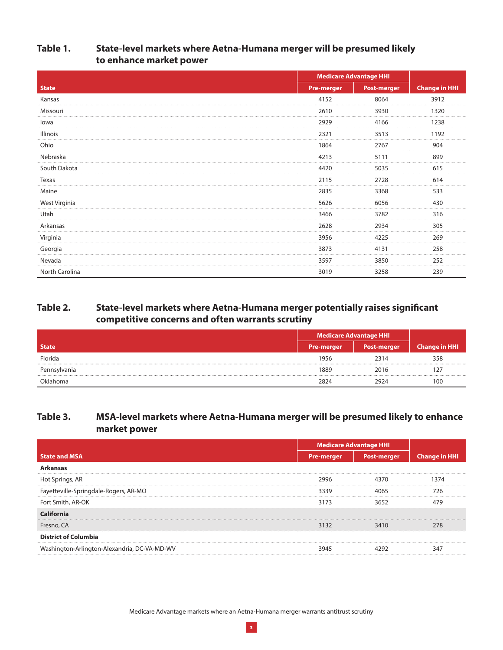### **Table 1. State-level markets where Aetna-Humana merger will be presumed likely to enhance market power**

|                 | <b>Medicare Advantage HHI</b> |                    |                      |
|-----------------|-------------------------------|--------------------|----------------------|
| <b>State</b>    | <b>Pre-merger</b>             | <b>Post-merger</b> | <b>Change in HHI</b> |
| Kansas          | 4152                          | 8064               | 3912                 |
| Missouri        | 2610                          | 3930               | 1320                 |
| lowa            | 2929                          | 4166               | 1238                 |
| <b>Illinois</b> | 2321                          | 3513               | 1192                 |
| Ohio            | 1864                          | 2767               | 904                  |
| Nebraska        | 4213                          | 5111               | 899                  |
| South Dakota    | 4420                          | 5035               | 615                  |
| Texas           | 2115                          | 2728               | 614                  |
| Maine           | 2835                          | 3368               | 533                  |
| West Virginia   | 5626                          | 6056               | 430                  |
| Utah            | 3466                          | 3782               | 316                  |
| Arkansas        | 2628                          | 2934               | 305                  |
| Virginia        | 3956                          | 4225               | 269                  |
| Georgia         | 3873                          | 4131               | 258                  |
| Nevada          | 3597                          | 3850               | 252                  |
| North Carolina  | 3019                          | 3258               | 239                  |

# **Table 2. State-level markets where Aetna-Humana merger potentially raises significant competitive concerns and often warrants scrutiny**

|              | Medicare Advantage HHI |                    |               |
|--------------|------------------------|--------------------|---------------|
| <b>State</b> | <b>Pre-merger</b>      | <b>Post-merger</b> | Change in HHI |
| Florida      | 1956                   | 2314               | 358           |
| Pennsylvania | 1889                   | 2016               |               |
| Oklahoma     | 2824                   | 2924               | 100           |

# **Table 3. MSA-level markets where Aetna-Humana merger will be presumed likely to enhance market power**

|                                           | <b>Medicare Advantage HHI</b> |                    |           |
|-------------------------------------------|-------------------------------|--------------------|-----------|
| <b>State and MSA</b>                      | <b>Pre-merger</b>             | <b>Post-merger</b> | Change in |
| Arkansas                                  |                               |                    |           |
| Hot Springs, AR                           | 2996                          | 4370               |           |
| Fayetteville-Springdale-Rogers, AR-MO     | 3339                          | 4065               | 776       |
| Fort Smith, AR-OK                         | 3173                          | 3652               |           |
|                                           |                               |                    |           |
| Fresno, CA                                | 3132                          | 3410               | 278       |
| <b>District of Columbia</b>               |                               |                    |           |
| hington-Arlington-Alexandria, DC-VA-MD-WV |                               |                    |           |

Medicare Advantage markets where an Aetna-Humana merger warrants antitrust scrutiny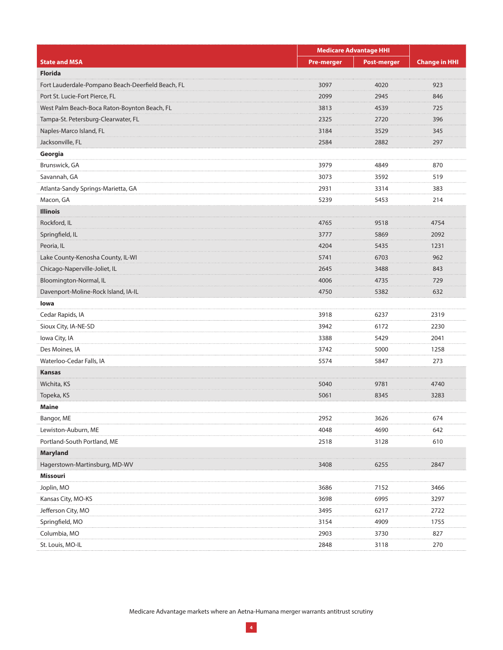|                                                   | <b>Medicare Advantage HHI</b> |                    |                      |  |
|---------------------------------------------------|-------------------------------|--------------------|----------------------|--|
| <b>State and MSA</b>                              | <b>Pre-merger</b>             | <b>Post-merger</b> | <b>Change in HHI</b> |  |
| <b>Florida</b>                                    |                               |                    |                      |  |
| Fort Lauderdale-Pompano Beach-Deerfield Beach, FL | 3097<br>.                     | 4020<br>.          | 923<br>.             |  |
| Port St. Lucie-Fort Pierce, FL                    | 2099                          | 2945               | 846                  |  |
| West Palm Beach-Boca Raton-Boynton Beach, FL      | 3813                          | 4539               | 725                  |  |
| Tampa-St. Petersburg-Clearwater, FL               | 2325<br>.                     | 2720<br>.          | 396<br>.             |  |
| Naples-Marco Island, FL                           | 3184                          | 3529               | 345                  |  |
| Jacksonville, FL                                  | 2584                          | 2882               | 297                  |  |
| Georgia                                           |                               |                    |                      |  |
| Brunswick, GA                                     | 3979                          | 4849               | 870                  |  |
| Savannah, GA                                      | 3073                          | 3592               | 519                  |  |
| Atlanta-Sandy Springs-Marietta, GA                | 2931                          | 3314               | 383                  |  |
| Macon, GA                                         | 5239                          | 5453               | 214                  |  |
| <b>Illinois</b>                                   |                               |                    |                      |  |
| Rockford, IL                                      | 4765                          | 9518               | 4754<br>.            |  |
| Springfield, IL                                   | 3777                          | 5869               | 2092                 |  |
| Peoria, IL                                        | 4204                          | 5435               | 1231                 |  |
| Lake County-Kenosha County, IL-WI                 | 5741                          | 6703               | 962                  |  |
| Chicago-Naperville-Joliet, IL                     | 2645                          | 3488               | 843                  |  |
| Bloomington-Normal, IL                            | 4006                          | 4735               | 729                  |  |
| Davenport-Moline-Rock Island, IA-IL               | 4750                          | 5382               | 632                  |  |
| lowa                                              |                               |                    |                      |  |
| Cedar Rapids, IA                                  | 3918                          | 6237               | 2319                 |  |
| Sioux City, IA-NE-SD                              | 3942                          | 6172               | 2230                 |  |
| Iowa City, IA                                     | 3388                          | 5429               | 2041                 |  |
| Des Moines, IA                                    | 3742                          | 5000               | 1258                 |  |
| Waterloo-Cedar Falls, IA                          | 5574                          | 5847               | 273                  |  |
| Kansas                                            |                               |                    |                      |  |
| Wichita, KS                                       | 5040                          | 9781               | 4740                 |  |
| Topeka, KS                                        | 5061                          | 8345               | 3283                 |  |
| Maine                                             |                               |                    |                      |  |
| Bangor, ME                                        | 2952                          | 3626               | 674                  |  |
| Lewiston-Auburn, ME                               | 4048                          | 4690               | 642                  |  |
| Portland-South Portland, ME                       | 2518                          | 3128               | 610                  |  |
| <b>Maryland</b>                                   |                               |                    |                      |  |
| Hagerstown-Martinsburg, MD-WV                     | 3408                          | 6255               | 2847                 |  |
| Missouri                                          |                               |                    |                      |  |
| Joplin, MO                                        | 3686                          | 7152               | 3466                 |  |
| Kansas City, MO-KS                                | 3698                          | 6995               | 3297                 |  |
| Jefferson City, MO                                | 3495                          | 6217               | 2722                 |  |
| Springfield, MO                                   | 3154                          | 4909               | 1755                 |  |
| Columbia, MO                                      | 2903                          | 3730               | 827                  |  |
| St. Louis, MO-IL                                  | 2848                          | 3118               | 270                  |  |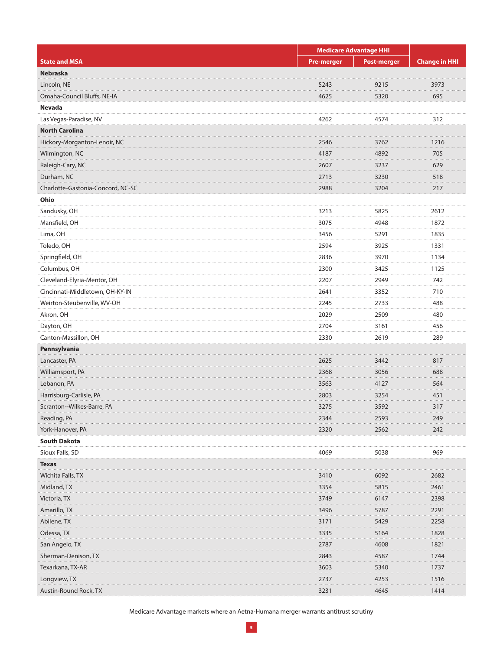|                                   | <b>Medicare Advantage HHI</b> |                    |                      |
|-----------------------------------|-------------------------------|--------------------|----------------------|
| <b>State and MSA</b>              | <b>Pre-merger</b>             | <b>Post-merger</b> | <b>Change in HHI</b> |
| Nebraska                          |                               |                    |                      |
| Lincoln, NE                       | 5243                          | 9215               | 3973                 |
| Omaha-Council Bluffs, NE-IA       | 4625                          | 5320               | 695                  |
| Nevada                            |                               |                    |                      |
| Las Vegas-Paradise, NV            | 4262                          | 4574               | 312                  |
| <b>North Carolina</b>             |                               |                    |                      |
| Hickory-Morganton-Lenoir, NC      | 2546                          | 3762               | 1216                 |
| Wilmington, NC                    | 4187                          | 4892               | 705                  |
| Raleigh-Cary, NC                  | 2607<br>.                     | 3237               | 629                  |
| Durham, NC                        | 2713                          | 3230               | 518                  |
| Charlotte-Gastonia-Concord, NC-SC | 2988                          | 3204               | 217                  |
| Ohio                              |                               |                    |                      |
| Sandusky, OH                      | 3213                          | 5825               | 2612                 |
| Mansfield, OH                     | 3075                          | 4948               | 1872                 |
| Lima, OH                          | 3456                          | 5291               | 1835                 |
| Toledo, OH                        | 2594                          | 3925               | 1331                 |
| Springfield, OH                   | 2836                          | 3970               | 1134                 |
| Columbus, OH                      | 2300                          | 3425               | 1125                 |
| Cleveland-Elyria-Mentor, OH       | 2207                          | 2949               | 742                  |
| Cincinnati-Middletown, OH-KY-IN   | 2641                          | 3352               | 710                  |
| Weirton-Steubenville, WV-OH       | 2245                          | 2733               | 488                  |
| Akron, OH                         | 2029                          | 2509               | 480                  |
| Dayton, OH                        | 2704                          | 3161               | 456                  |
| Canton-Massillon, OH              | 2330                          | 2619               | 289                  |
| Pennsylvania                      |                               |                    |                      |
| Lancaster, PA                     | 2625                          | 3442               | 817                  |
| Williamsport, PA                  | 2368                          | 3056               | 688                  |
| Lebanon, PA                       | .<br>3563                     | 4127               | .<br>564             |
| Harrisburg-Carlisle, PA           | 2803                          | 3254               | 451                  |
| Scranton--Wilkes-Barre, PA        | 3275                          | 3592               | 317                  |
| Reading, PA                       | 2344                          | 2593               | 249                  |
| York-Hanover, PA                  | 2320                          | 2562               | 242                  |
| <b>South Dakota</b>               |                               |                    |                      |
| Sioux Falls, SD                   | 4069                          | 5038               | 969                  |
| <b>Texas</b>                      |                               |                    |                      |
| Wichita Falls, TX                 | 3410                          | 6092               | 2682                 |
| Midland, TX                       | 3354                          | 5815               | 2461                 |
| Victoria, TX                      | 3749                          | 6147               | 2398                 |
| Amarillo, TX                      | 3496                          | 5787               | 2291                 |
| Abilene, TX                       | 3171                          | 5429               | 2258                 |
| Odessa, TX                        | 3335                          | 5164               | 1828                 |
| San Angelo, TX                    | 2787                          | 4608               | 1821                 |
| Sherman-Denison, TX               | 2843                          | 4587               | 1744                 |
| Texarkana, TX-AR                  | 3603                          | 5340               | 1737                 |
| Longview, TX                      | 2737                          | 4253               | 1516                 |
| Austin-Round Rock, TX             | 3231                          | 4645               | 1414                 |
|                                   |                               |                    |                      |

Medicare Advantage markets where an Aetna-Humana merger warrants antitrust scrutiny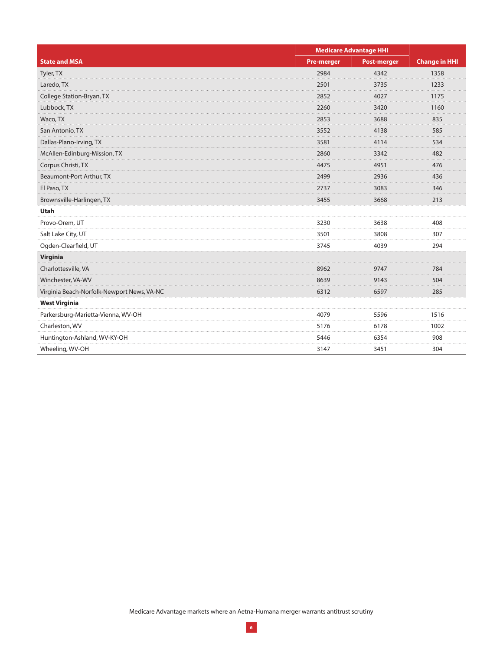|                                            | <b>Medicare Advantage HHI</b> |                    |                      |
|--------------------------------------------|-------------------------------|--------------------|----------------------|
| <b>State and MSA</b>                       | <b>Pre-merger</b>             | <b>Post-merger</b> | <b>Change in HHI</b> |
| Tyler, TX                                  | 2984                          | 4342               | 1358                 |
| Laredo, TX                                 | 2501                          | 3735               | 1233<br>.            |
| College Station-Bryan, TX                  | 2852                          | 4027               | 1175                 |
| Lubbock, TX                                | 2260                          | 3420               | 1160                 |
| Waco, TX                                   | 2853                          | 3688               | 835                  |
| San Antonio, TX                            | 3552                          | 4138               | 585                  |
| Dallas-Plano-Irving, TX                    | 3581<br>.                     | 4114<br>.          | 534<br>.             |
| McAllen-Edinburg-Mission, TX               | 2860                          | 3342               | 482                  |
| Corpus Christi, TX                         | 4475                          | 4951               | 476                  |
| Beaumont-Port Arthur, TX                   | 2499                          | 2936               | 436                  |
| El Paso, TX                                | 2737                          | 3083               | 346                  |
| Brownsville-Harlingen, TX                  | 3455                          | 3668               | 213                  |
| <b>Utah</b>                                |                               |                    |                      |
| Provo-Orem, UT                             | 3230                          | 3638               | 408                  |
| Salt Lake City, UT                         | 3501                          | 3808               | 307                  |
| Ogden-Clearfield, UT                       | 3745                          | 4039               | 294                  |
| Virginia                                   |                               |                    |                      |
| Charlottesville, VA                        | 8962                          | 9747               | 784                  |
| Winchester, VA-WV                          | 8639                          | 9143               | 504                  |
| Virginia Beach-Norfolk-Newport News, VA-NC | 6312                          | 6597               | 285                  |
| <b>West Virginia</b>                       |                               |                    |                      |
| Parkersburg-Marietta-Vienna, WV-OH         | 4079                          | 5596               | 1516                 |
| Charleston, WV                             | 5176                          | 6178               | 1002                 |
| Huntington-Ashland, WV-KY-OH               | 5446                          | 6354               | 908                  |
| Wheeling, WV-OH                            | 3147                          | 3451               | 304                  |